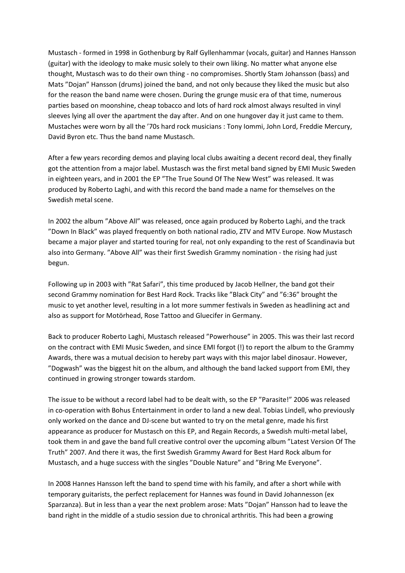Mustasch - formed in 1998 in Gothenburg by Ralf Gyllenhammar (vocals, guitar) and Hannes Hansson (guitar) with the ideology to make music solely to their own liking. No matter what anyone else thought, Mustasch was to do their own thing - no compromises. Shortly Stam Johansson (bass) and Mats "Dojan" Hansson (drums) joined the band, and not only because they liked the music but also for the reason the band name were chosen. During the grunge music era of that time, numerous parties based on moonshine, cheap tobacco and lots of hard rock almost always resulted in vinyl sleeves lying all over the apartment the day after. And on one hungover day it just came to them. Mustaches were worn by all the '70s hard rock musicians : Tony Iommi, John Lord, Freddie Mercury, David Byron etc. Thus the band name Mustasch.

After a few years recording demos and playing local clubs awaiting a decent record deal, they finally got the attention from a major label. Mustasch was the first metal band signed by EMI Music Sweden in eighteen years, and in 2001 the EP "The True Sound Of The New West" was released. It was produced by Roberto Laghi, and with this record the band made a name for themselves on the Swedish metal scene.

In 2002 the album "Above All" was released, once again produced by Roberto Laghi, and the track "Down In Black" was played frequently on both national radio, ZTV and MTV Europe. Now Mustasch became a major player and started touring for real, not only expanding to the rest of Scandinavia but also into Germany. "Above All" was their first Swedish Grammy nomination - the rising had just begun.

Following up in 2003 with "Rat Safari", this time produced by Jacob Hellner, the band got their second Grammy nomination for Best Hard Rock. Tracks like "Black City" and "6:36" brought the music to yet another level, resulting in a lot more summer festivals in Sweden as headlining act and also as support for Motörhead, Rose Tattoo and Gluecifer in Germany.

Back to producer Roberto Laghi, Mustasch released "Powerhouse" in 2005. This was their last record on the contract with EMI Music Sweden, and since EMI forgot (!) to report the album to the Grammy Awards, there was a mutual decision to hereby part ways with this major label dinosaur. However, "Dogwash" was the biggest hit on the album, and although the band lacked support from EMI, they continued in growing stronger towards stardom.

The issue to be without a record label had to be dealt with, so the EP "Parasite!" 2006 was released in co-operation with Bohus Entertainment in order to land a new deal. Tobias Lindell, who previously only worked on the dance and DJ-scene but wanted to try on the metal genre, made his first appearance as producer for Mustasch on this EP, and Regain Records, a Swedish multi-metal label, took them in and gave the band full creative control over the upcoming album "Latest Version Of The Truth" 2007. And there it was, the first Swedish Grammy Award for Best Hard Rock album for Mustasch, and a huge success with the singles "Double Nature" and "Bring Me Everyone".

In 2008 Hannes Hansson left the band to spend time with his family, and after a short while with temporary guitarists, the perfect replacement for Hannes was found in David Johannesson (ex Sparzanza). But in less than a year the next problem arose: Mats "Dojan" Hansson had to leave the band right in the middle of a studio session due to chronical arthritis. This had been a growing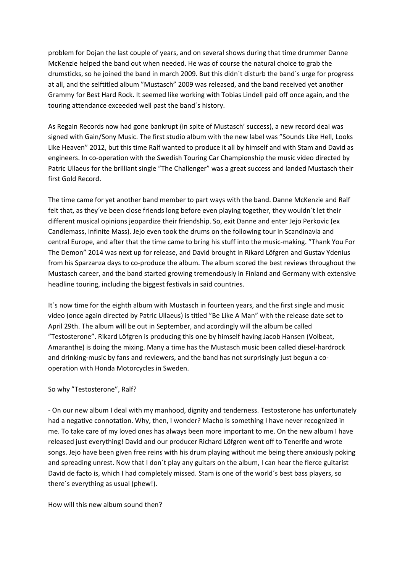problem for Dojan the last couple of years, and on several shows during that time drummer Danne McKenzie helped the band out when needed. He was of course the natural choice to grab the drumsticks, so he joined the band in march 2009. But this didn´t disturb the band´s urge for progress at all, and the selftitled album "Mustasch" 2009 was released, and the band received yet another Grammy for Best Hard Rock. It seemed like working with Tobias Lindell paid off once again, and the touring attendance exceeded well past the band´s history.

As Regain Records now had gone bankrupt (in spite of Mustasch' success), a new record deal was signed with Gain/Sony Music. The first studio album with the new label was "Sounds Like Hell, Looks Like Heaven" 2012, but this time Ralf wanted to produce it all by himself and with Stam and David as engineers. In co-operation with the Swedish Touring Car Championship the music video directed by Patric Ullaeus for the brilliant single "The Challenger" was a great success and landed Mustasch their first Gold Record.

The time came for yet another band member to part ways with the band. Danne McKenzie and Ralf felt that, as they´ve been close friends long before even playing together, they wouldn´t let their different musical opinions jeopardize their friendship. So, exit Danne and enter Jejo Perkovic (ex Candlemass, Infinite Mass). Jejo even took the drums on the following tour in Scandinavia and central Europe, and after that the time came to bring his stuff into the music-making. "Thank You For The Demon" 2014 was next up for release, and David brought in Rikard Löfgren and Gustav Ydenius from his Sparzanza days to co-produce the album. The album scored the best reviews throughout the Mustasch career, and the band started growing tremendously in Finland and Germany with extensive headline touring, including the biggest festivals in said countries.

It´s now time for the eighth album with Mustasch in fourteen years, and the first single and music video (once again directed by Patric Ullaeus) is titled "Be Like A Man" with the release date set to April 29th. The album will be out in September, and acordingly will the album be called "Testosterone". Rikard Löfgren is producing this one by himself having Jacob Hansen (Volbeat, Amaranthe) is doing the mixing. Many a time has the Mustasch music been called diesel-hardrock and drinking-music by fans and reviewers, and the band has not surprisingly just begun a cooperation with Honda Motorcycles in Sweden.

## So why "Testosterone", Ralf?

- On our new album I deal with my manhood, dignity and tenderness. Testosterone has unfortunately had a negative connotation. Why, then, I wonder? Macho is something I have never recognized in me. To take care of my loved ones has always been more important to me. On the new album I have released just everything! David and our producer Richard Löfgren went off to Tenerife and wrote songs. Jejo have been given free reins with his drum playing without me being there anxiously poking and spreading unrest. Now that I don´t play any guitars on the album, I can hear the fierce guitarist David de facto is, which I had completely missed. Stam is one of the world´s best bass players, so there´s everything as usual (phew!).

How will this new album sound then?